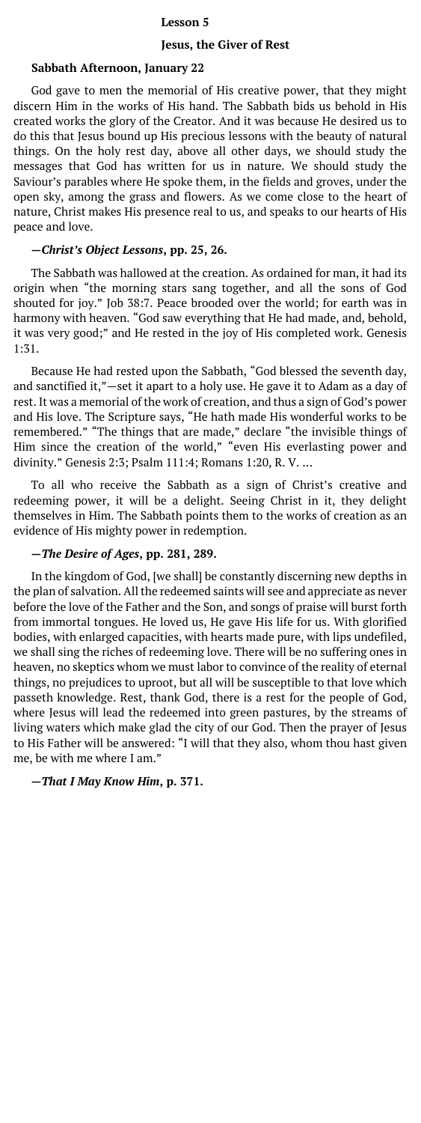### **Lesson 5**

#### **Jesus, the Giver of Rest**

#### **Sabbath Afternoon, January 22**

God gave to men the memorial of His creative power, that they might discern Him in the works of His hand. The Sabbath bids us behold in His created works the glory of the Creator. And it was because He desired us to do this that Jesus bound up His precious lessons with the beauty of natural things. On the holy rest day, above all other days, we should study the messages that God has written for us in nature. We should study the Saviour's parables where He spoke them, in the fields and groves, under the open sky, among the grass and flowers. As we come close to the heart of nature, Christ makes His presence real to us, and speaks to our hearts of His peace and love.

### **—***Christ's Object Lessons***, pp. 25, 26.**

The Sabbath was hallowed at the creation. As ordained for man, it had its origin when "the morning stars sang together, and all the sons of God shouted for joy." Job 38:7. Peace brooded over the world; for earth was in harmony with heaven. "God saw everything that He had made, and, behold, it was very good;" and He rested in the joy of His completed work. Genesis 1:31.

Because He had rested upon the Sabbath, "God blessed the seventh day, and sanctified it,"—set it apart to a holy use. He gave it to Adam as a day of rest. It was a memorial of the work of creation, and thus a sign of God's power and His love. The Scripture says, "He hath made His wonderful works to be remembered." "The things that are made," declare "the invisible things of Him since the creation of the world," "even His everlasting power and divinity." Genesis 2:3; Psalm 111:4; Romans 1:20, R. V. …

To all who receive the Sabbath as a sign of Christ's creative and redeeming power, it will be a delight. Seeing Christ in it, they delight themselves in Him. The Sabbath points them to the works of creation as an evidence of His mighty power in redemption.

# **—***The Desire of Ages***, pp. 281, 289.**

In the kingdom of God, [we shall] be constantly discerning new depths in the plan of salvation. All the redeemed saints will see and appreciate as never before the love of the Father and the Son, and songs of praise will burst forth from immortal tongues. He loved us, He gave His life for us. With glorified bodies, with enlarged capacities, with hearts made pure, with lips undefiled, we shall sing the riches of redeeming love. There will be no suffering ones in heaven, no skeptics whom we must labor to convince of the reality of eternal things, no prejudices to uproot, but all will be susceptible to that love which passeth knowledge. Rest, thank God, there is a rest for the people of God, where Jesus will lead the redeemed into green pastures, by the streams of living waters which make glad the city of our God. Then the prayer of Jesus to His Father will be answered: "I will that they also, whom thou hast given me, be with me where I am."

### **—***That I May Know Him***, p. 371.**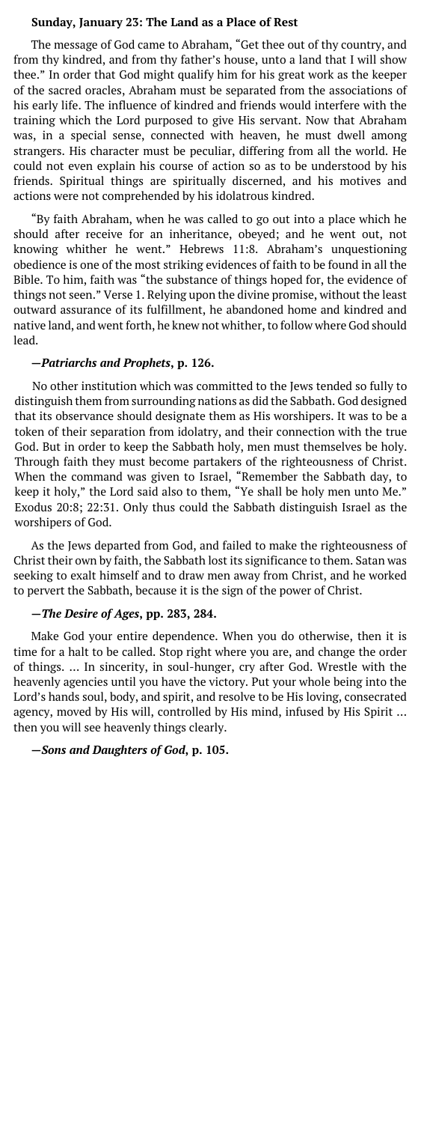### **Sunday, January 23: The Land as a Place of Rest**

The message of God came to Abraham, "Get thee out of thy country, and from thy kindred, and from thy father's house, unto a land that I will show thee." In order that God might qualify him for his great work as the keeper of the sacred oracles, Abraham must be separated from the associations of his early life. The influence of kindred and friends would interfere with the training which the Lord purposed to give His servant. Now that Abraham was, in a special sense, connected with heaven, he must dwell among strangers. His character must be peculiar, differing from all the world. He could not even explain his course of action so as to be understood by his friends. Spiritual things are spiritually discerned, and his motives and actions were not comprehended by his idolatrous kindred.

"By faith Abraham, when he was called to go out into a place which he should after receive for an inheritance, obeyed; and he went out, not knowing whither he went." Hebrews 11:8. Abraham's unquestioning obedience is one of the most striking evidences of faith to be found in all the Bible. To him, faith was "the substance of things hoped for, the evidence of things not seen." Verse 1. Relying upon the divine promise, without the least outward assurance of its fulfillment, he abandoned home and kindred and native land, and went forth, he knew not whither, to follow where God should lead.

### **—***Patriarchs and Prophets***, p. 126.**

No other institution which was committed to the Jews tended so fully to distinguish them from surrounding nations as did the Sabbath. God designed that its observance should designate them as His worshipers. It was to be a token of their separation from idolatry, and their connection with the true God. But in order to keep the Sabbath holy, men must themselves be holy. Through faith they must become partakers of the righteousness of Christ. When the command was given to Israel, "Remember the Sabbath day, to keep it holy," the Lord said also to them, "Ye shall be holy men unto Me." Exodus 20:8; 22:31. Only thus could the Sabbath distinguish Israel as the worshipers of God.

As the Jews departed from God, and failed to make the righteousness of Christ their own by faith, the Sabbath lost its significance to them. Satan was seeking to exalt himself and to draw men away from Christ, and he worked to pervert the Sabbath, because it is the sign of the power of Christ.

# **—***The Desire of Ages***, pp. 283, 284.**

Make God your entire dependence. When you do otherwise, then it is time for a halt to be called. Stop right where you are, and change the order of things. … In sincerity, in soul-hunger, cry after God. Wrestle with the heavenly agencies until you have the victory. Put your whole being into the Lord's hands soul, body, and spirit, and resolve to be His loving, consecrated agency, moved by His will, controlled by His mind, infused by His Spirit … then you will see heavenly things clearly.

## **—***Sons and Daughters of God***, p. 105.**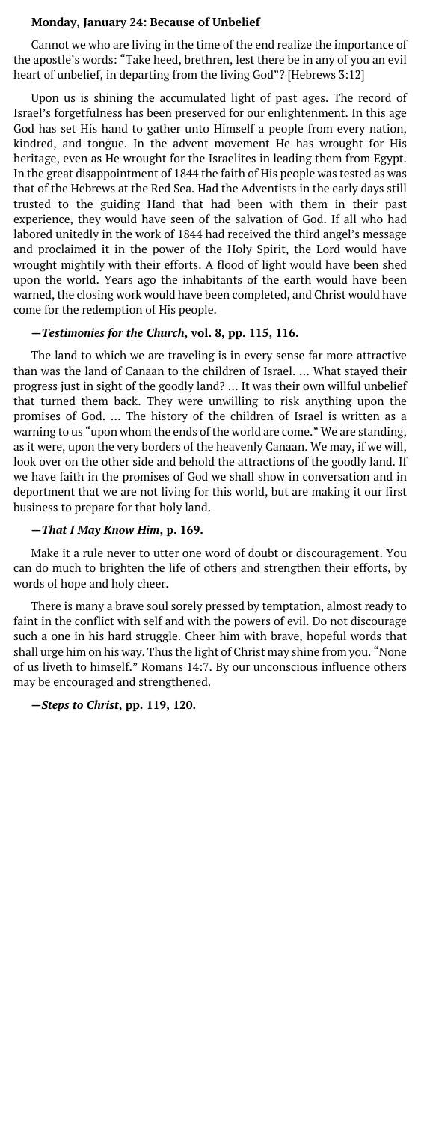### **Monday, January 24: Because of Unbelief**

Cannot we who are living in the time of the end realize the importance of the apostle's words: "Take heed, brethren, lest there be in any of you an evil heart of unbelief, in departing from the living God"? [Hebrews 3:12]

Upon us is shining the accumulated light of past ages. The record of Israel's forgetfulness has been preserved for our enlightenment. In this age God has set His hand to gather unto Himself a people from every nation, kindred, and tongue. In the advent movement He has wrought for His heritage, even as He wrought for the Israelites in leading them from Egypt. In the great disappointment of 1844 the faith of His people was tested as was that of the Hebrews at the Red Sea. Had the Adventists in the early days still trusted to the guiding Hand that had been with them in their past experience, they would have seen of the salvation of God. If all who had labored unitedly in the work of 1844 had received the third angel's message and proclaimed it in the power of the Holy Spirit, the Lord would have wrought mightily with their efforts. A flood of light would have been shed upon the world. Years ago the inhabitants of the earth would have been warned, the closing work would have been completed, and Christ would have come for the redemption of His people.

### **—***Testimonies for the Church***, vol. 8, pp. 115, 116.**

The land to which we are traveling is in every sense far more attractive than was the land of Canaan to the children of Israel. … What stayed their progress just in sight of the goodly land? … It was their own willful unbelief that turned them back. They were unwilling to risk anything upon the promises of God. … The history of the children of Israel is written as a warning to us "upon whom the ends of the world are come." We are standing, as it were, upon the very borders of the heavenly Canaan. We may, if we will, look over on the other side and behold the attractions of the goodly land. If we have faith in the promises of God we shall show in conversation and in deportment that we are not living for this world, but are making it our first business to prepare for that holy land.

# **—***That I May Know Him***, p. 169.**

Make it a rule never to utter one word of doubt or discouragement. You can do much to brighten the life of others and strengthen their efforts, by words of hope and holy cheer.

There is many a brave soul sorely pressed by temptation, almost ready to faint in the conflict with self and with the powers of evil. Do not discourage such a one in his hard struggle. Cheer him with brave, hopeful words that shall urge him on his way. Thus the light of Christ may shine from you. "None of us liveth to himself." Romans 14:7. By our unconscious influence others may be encouraged and strengthened.

**—***Steps to Christ***, pp. 119, 120.**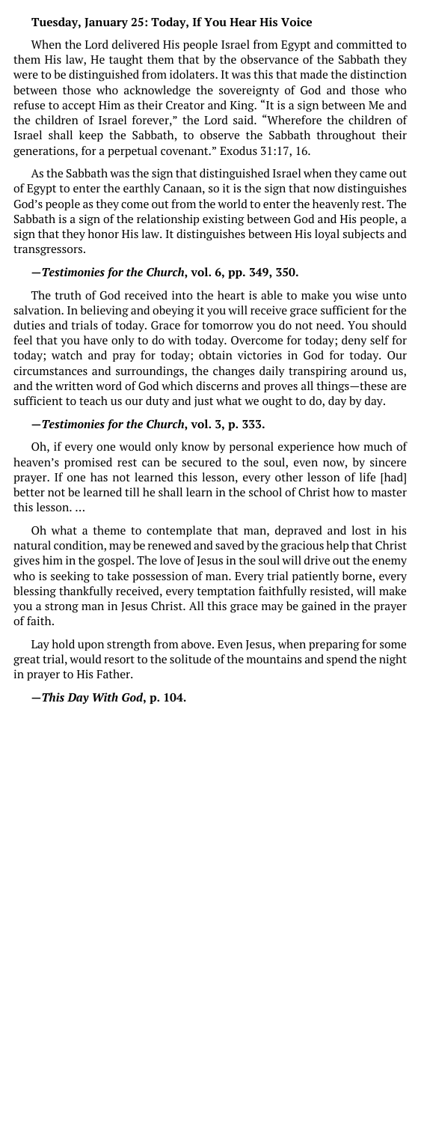### **Tuesday, January 25: Today, If You Hear His Voice**

When the Lord delivered His people Israel from Egypt and committed to them His law, He taught them that by the observance of the Sabbath they were to be distinguished from idolaters. It was this that made the distinction between those who acknowledge the sovereignty of God and those who refuse to accept Him as their Creator and King. "It is a sign between Me and the children of Israel forever," the Lord said. "Wherefore the children of Israel shall keep the Sabbath, to observe the Sabbath throughout their generations, for a perpetual covenant." Exodus 31:17, 16.

As the Sabbath was the sign that distinguished Israel when they came out of Egypt to enter the earthly Canaan, so it is the sign that now distinguishes God's people as they come out from the world to enter the heavenly rest. The Sabbath is a sign of the relationship existing between God and His people, a sign that they honor His law. It distinguishes between His loyal subjects and transgressors.

# **—***Testimonies for the Church***, vol. 6, pp. 349, 350.**

The truth of God received into the heart is able to make you wise unto salvation. In believing and obeying it you will receive grace sufficient for the duties and trials of today. Grace for tomorrow you do not need. You should feel that you have only to do with today. Overcome for today; deny self for today; watch and pray for today; obtain victories in God for today. Our circumstances and surroundings, the changes daily transpiring around us, and the written word of God which discerns and proves all things—these are sufficient to teach us our duty and just what we ought to do, day by day.

### **—***Testimonies for the Church***, vol. 3, p. 333.**

Oh, if every one would only know by personal experience how much of heaven's promised rest can be secured to the soul, even now, by sincere prayer. If one has not learned this lesson, every other lesson of life [had] better not be learned till he shall learn in the school of Christ how to master this lesson. …

Oh what a theme to contemplate that man, depraved and lost in his natural condition, may be renewed and saved by the gracious help that Christ gives him in the gospel. The love of Jesus in the soul will drive out the enemy who is seeking to take possession of man. Every trial patiently borne, every blessing thankfully received, every temptation faithfully resisted, will make you a strong man in Jesus Christ. All this grace may be gained in the prayer of faith.

Lay hold upon strength from above. Even Jesus, when preparing for some great trial, would resort to the solitude of the mountains and spend the night in prayer to His Father.

### **—***This Day With God***, p. 104.**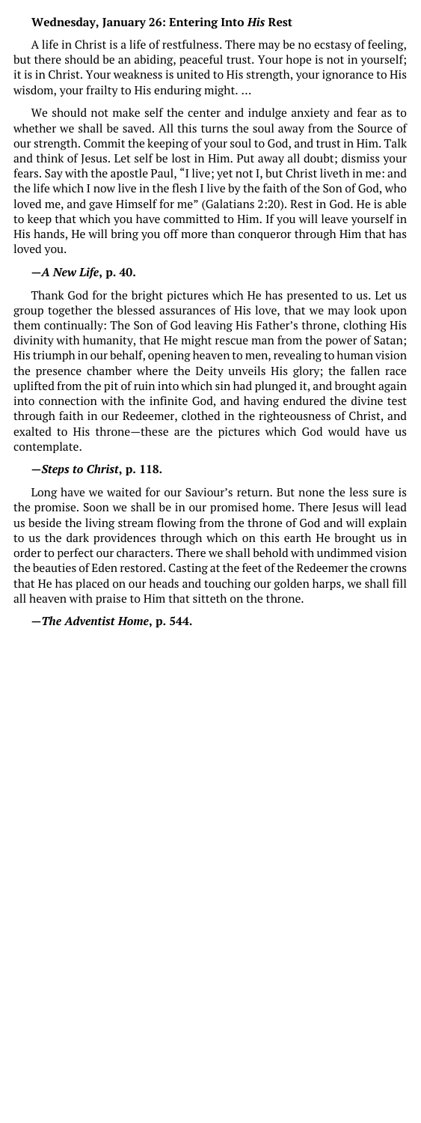### **Wednesday, January 26: Entering Into** *His* **Rest**

A life in Christ is a life of restfulness. There may be no ecstasy of feeling, but there should be an abiding, peaceful trust. Your hope is not in yourself; it is in Christ. Your weakness is united to His strength, your ignorance to His wisdom, your frailty to His enduring might. …

We should not make self the center and indulge anxiety and fear as to whether we shall be saved. All this turns the soul away from the Source of our strength. Commit the keeping of your soul to God, and trust in Him. Talk and think of Jesus. Let self be lost in Him. Put away all doubt; dismiss your fears. Say with the apostle Paul, "I live; yet not I, but Christ liveth in me: and the life which I now live in the flesh I live by the faith of the Son of God, who loved me, and gave Himself for me" (Galatians 2:20). Rest in God. He is able to keep that which you have committed to Him. If you will leave yourself in His hands, He will bring you off more than conqueror through Him that has loved you.

### **—***A New Life***, p. 40.**

Thank God for the bright pictures which He has presented to us. Let us group together the blessed assurances of His love, that we may look upon them continually: The Son of God leaving His Father's throne, clothing His divinity with humanity, that He might rescue man from the power of Satan; His triumph in our behalf, opening heaven to men, revealing to human vision the presence chamber where the Deity unveils His glory; the fallen race uplifted from the pit of ruin into which sin had plunged it, and brought again into connection with the infinite God, and having endured the divine test through faith in our Redeemer, clothed in the righteousness of Christ, and exalted to His throne—these are the pictures which God would have us contemplate.

### **—***Steps to Christ***, p. 118.**

Long have we waited for our Saviour's return. But none the less sure is the promise. Soon we shall be in our promised home. There Jesus will lead us beside the living stream flowing from the throne of God and will explain to us the dark providences through which on this earth He brought us in order to perfect our characters. There we shall behold with undimmed vision the beauties of Eden restored. Casting at the feet of the Redeemer the crowns that He has placed on our heads and touching our golden harps, we shall fill all heaven with praise to Him that sitteth on the throne.

### **—***The Adventist Home***, p. 544.**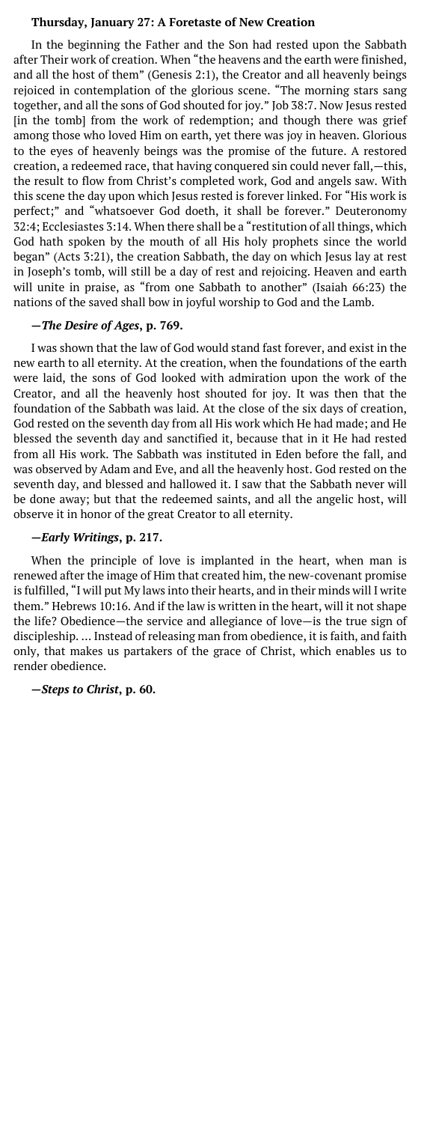### **Thursday, January 27: A Foretaste of New Creation**

In the beginning the Father and the Son had rested upon the Sabbath after Their work of creation. When "the heavens and the earth were finished, and all the host of them" (Genesis 2:1), the Creator and all heavenly beings rejoiced in contemplation of the glorious scene. "The morning stars sang together, and all the sons of God shouted for joy." Job 38:7. Now Jesus rested [in the tomb] from the work of redemption; and though there was grief among those who loved Him on earth, yet there was joy in heaven. Glorious to the eyes of heavenly beings was the promise of the future. A restored creation, a redeemed race, that having conquered sin could never fall,—this, the result to flow from Christ's completed work, God and angels saw. With this scene the day upon which Jesus rested is forever linked. For "His work is perfect;" and "whatsoever God doeth, it shall be forever." Deuteronomy 32:4; Ecclesiastes 3:14. When there shall be a "restitution of all things, which God hath spoken by the mouth of all His holy prophets since the world began" (Acts 3:21), the creation Sabbath, the day on which Jesus lay at rest in Joseph's tomb, will still be a day of rest and rejoicing. Heaven and earth will unite in praise, as "from one Sabbath to another" (Isaiah 66:23) the nations of the saved shall bow in joyful worship to God and the Lamb.

## **—***The Desire of Ages***, p. 769.**

I was shown that the law of God would stand fast forever, and exist in the new earth to all eternity. At the creation, when the foundations of the earth were laid, the sons of God looked with admiration upon the work of the Creator, and all the heavenly host shouted for joy. It was then that the foundation of the Sabbath was laid. At the close of the six days of creation, God rested on the seventh day from all His work which He had made; and He blessed the seventh day and sanctified it, because that in it He had rested from all His work. The Sabbath was instituted in Eden before the fall, and was observed by Adam and Eve, and all the heavenly host. God rested on the seventh day, and blessed and hallowed it. I saw that the Sabbath never will be done away; but that the redeemed saints, and all the angelic host, will observe it in honor of the great Creator to all eternity.

### **—***Early Writings***, p. 217.**

When the principle of love is implanted in the heart, when man is renewed after the image of Him that created him, the new-covenant promise is fulfilled, "I will put My laws into their hearts, and in their minds will I write them." Hebrews 10:16. And if the law is written in the heart, will it not shape the life? Obedience—the service and allegiance of love—is the true sign of discipleship. … Instead of releasing man from obedience, it is faith, and faith only, that makes us partakers of the grace of Christ, which enables us to render obedience.

### **—***Steps to Christ***, p. 60.**